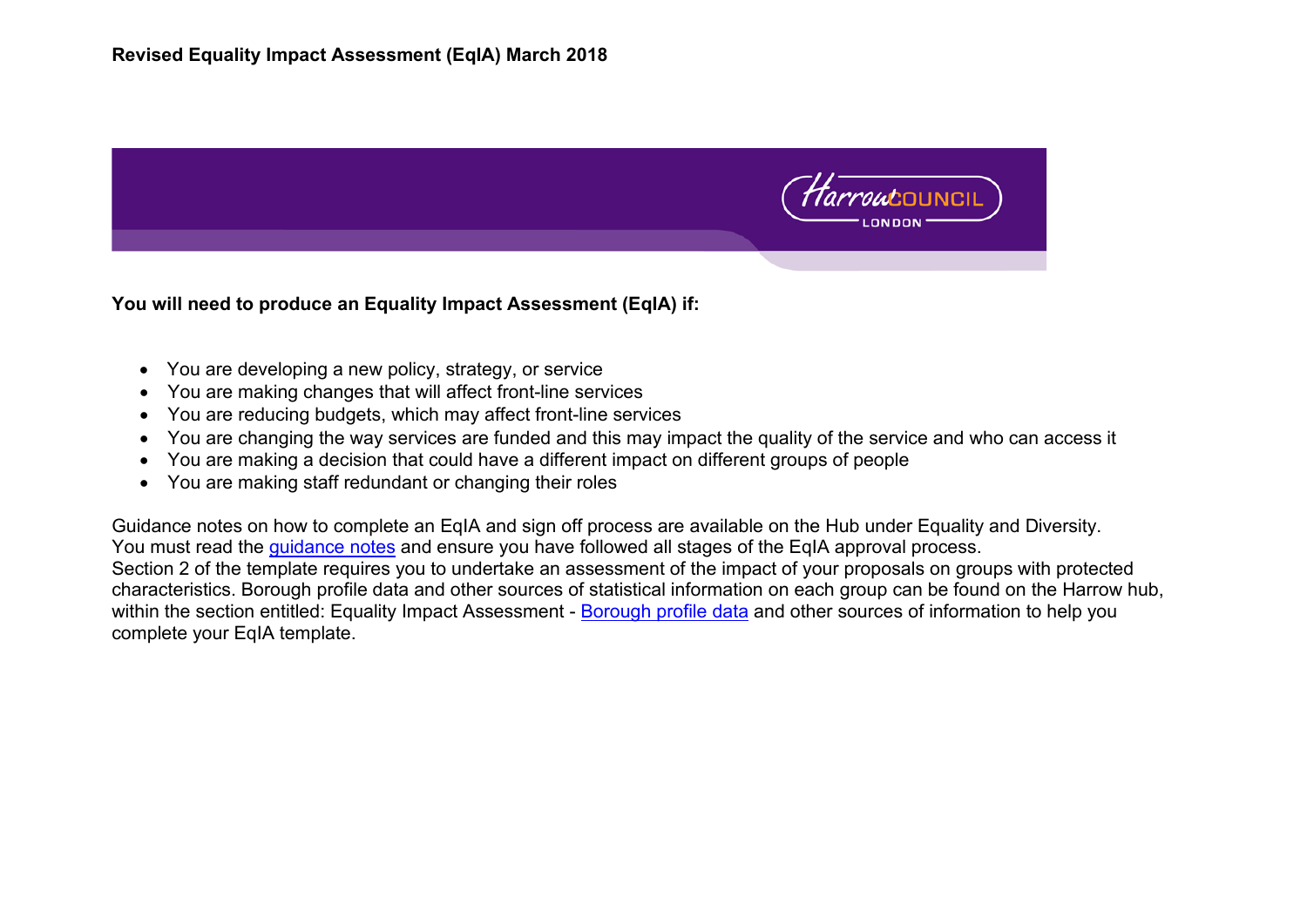

**You will need to produce an Equality Impact Assessment (EqIA) if:** 

- You are developing a new policy, strategy, or service
- You are making changes that will affect front-line services
- You are reducing budgets, which may affect front-line services
- You are changing the way services are funded and this may impact the quality of the service and who can access it
- You are making a decision that could have a different impact on different groups of people
- You are making staff redundant or changing their roles

Guidance notes on how to complete an EqIA and sign off process are available on the Hub under Equality and Diversity. You must read the quidance notes and ensure you have followed all stages of the EqIA approval process. Section 2 of the template requires you to undertake an assessment of the impact of your proposals on groups with protected characteristics. Borough profile data and other sources of statistical information on each group can be found on the Harrow hub, within the section entitled: Equality Impact Assessment - [Borough profile data](file://harrow.gov.uk/dfs/homedrive/FIkram/EQIA/EqIA%20January%202018%20final/EQIA%20February%202018%20with%20DCORBY) and other sources of information to help you complete your EqIA template.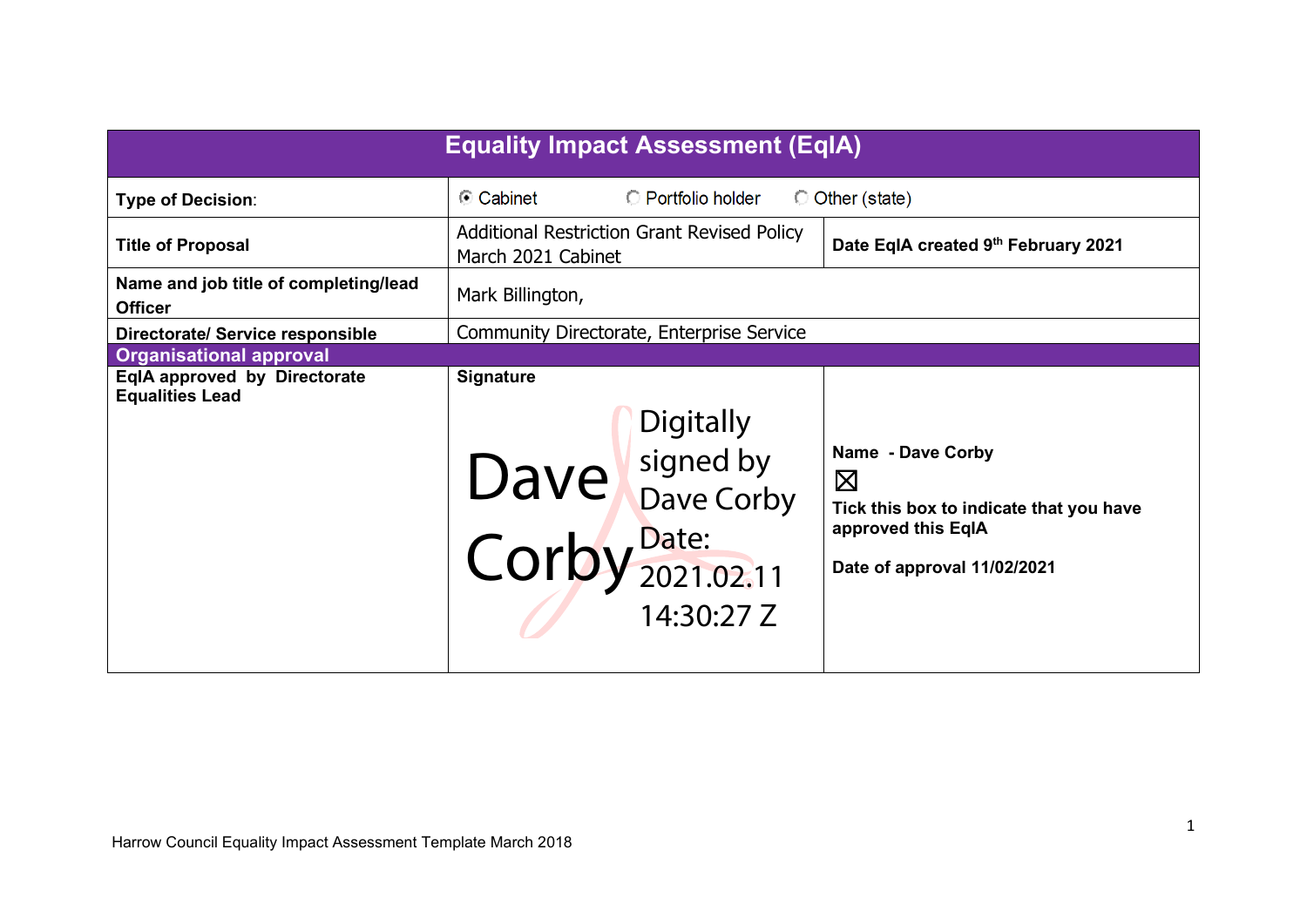| <b>Equality Impact Assessment (EqIA)</b>                                  |                                                                                                                 |                                                              |                                                                                                                                  |  |  |  |
|---------------------------------------------------------------------------|-----------------------------------------------------------------------------------------------------------------|--------------------------------------------------------------|----------------------------------------------------------------------------------------------------------------------------------|--|--|--|
| <b>Type of Decision:</b>                                                  | ⊙ Cabinet                                                                                                       | C Portfolio holder                                           | O Other (state)                                                                                                                  |  |  |  |
| <b>Title of Proposal</b>                                                  | <b>Additional Restriction Grant Revised Policy</b><br>Date EqIA created 9th February 2021<br>March 2021 Cabinet |                                                              |                                                                                                                                  |  |  |  |
| Name and job title of completing/lead<br><b>Officer</b>                   | Mark Billington,                                                                                                |                                                              |                                                                                                                                  |  |  |  |
| <b>Directorate/ Service responsible</b><br><b>Organisational approval</b> |                                                                                                                 | Community Directorate, Enterprise Service                    |                                                                                                                                  |  |  |  |
| EqIA approved by Directorate<br><b>Equalities Lead</b>                    | <b>Signature</b>                                                                                                | Digitally<br>Dave by Dave Corby<br>Corby Date:<br>14:30:27 Z | Name - Dave Corby<br>$\boxtimes$<br>Tick this box to indicate that you have<br>approved this EqIA<br>Date of approval 11/02/2021 |  |  |  |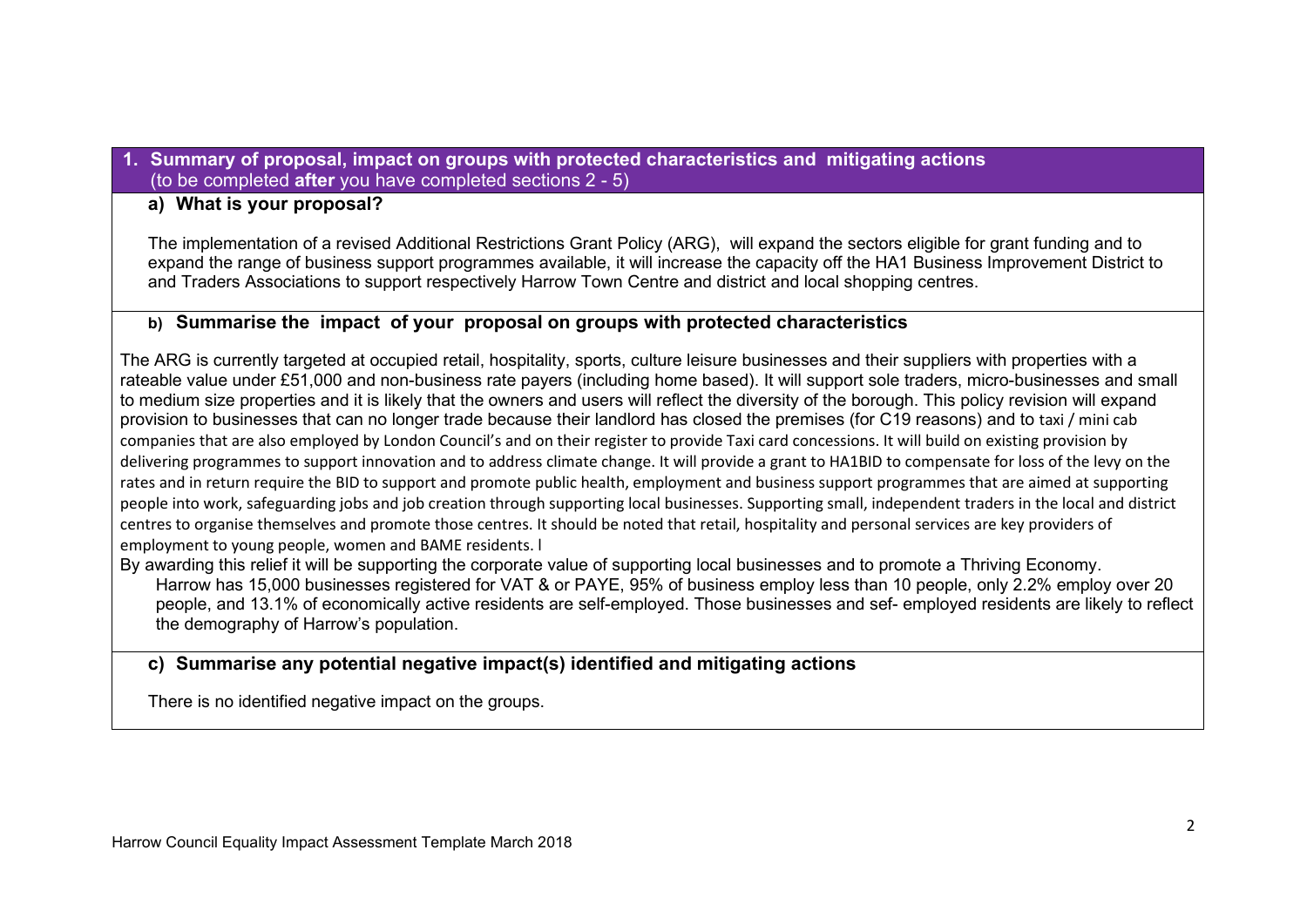#### **1. Summary of proposal, impact on groups with protected characteristics and mitigating actions** (to be completed **after** you have completed sections 2 - 5)

#### **a) What is your proposal?**

The implementation of a revised Additional Restrictions Grant Policy (ARG), will expand the sectors eligible for grant funding and to expand the range of business support programmes available, it will increase the capacity off the HA1 Business Improvement District to and Traders Associations to support respectively Harrow Town Centre and district and local shopping centres.

## **b) Summarise the impact of your proposal on groups with protected characteristics**

The ARG is currently targeted at occupied retail, hospitality, sports, culture leisure businesses and their suppliers with properties with a rateable value under £51,000 and non-business rate payers (including home based). It will support sole traders, micro-businesses and small to medium size properties and it is likely that the owners and users will reflect the diversity of the borough. This policy revision will expand provision to businesses that can no longer trade because their landlord has closed the premises (for C19 reasons) and to taxi / mini cab companies that are also employed by London Council's and on their register to provide Taxi card concessions. It will build on existing provision by delivering programmes to support innovation and to address climate change. It will provide a grant to HA1BID to compensate for loss of the levy on the rates and in return require the BID to support and promote public health, employment and business support programmes that are aimed at supporting people into work, safeguarding jobs and job creation through supporting local businesses. Supporting small, independent traders in the local and district centres to organise themselves and promote those centres. It should be noted that retail, hospitality and personal services are key providers of employment to young people, women and BAME residents. l

By awarding this relief it will be supporting the corporate value of supporting local businesses and to promote a Thriving Economy. Harrow has 15,000 businesses registered for VAT & or PAYE, 95% of business employ less than 10 people, only 2.2% employ over 20 people, and 13.1% of economically active residents are self-employed. Those businesses and sef- employed residents are likely to reflect the demography of Harrow's population.

# **c) Summarise any potential negative impact(s) identified and mitigating actions**

There is no identified negative impact on the groups.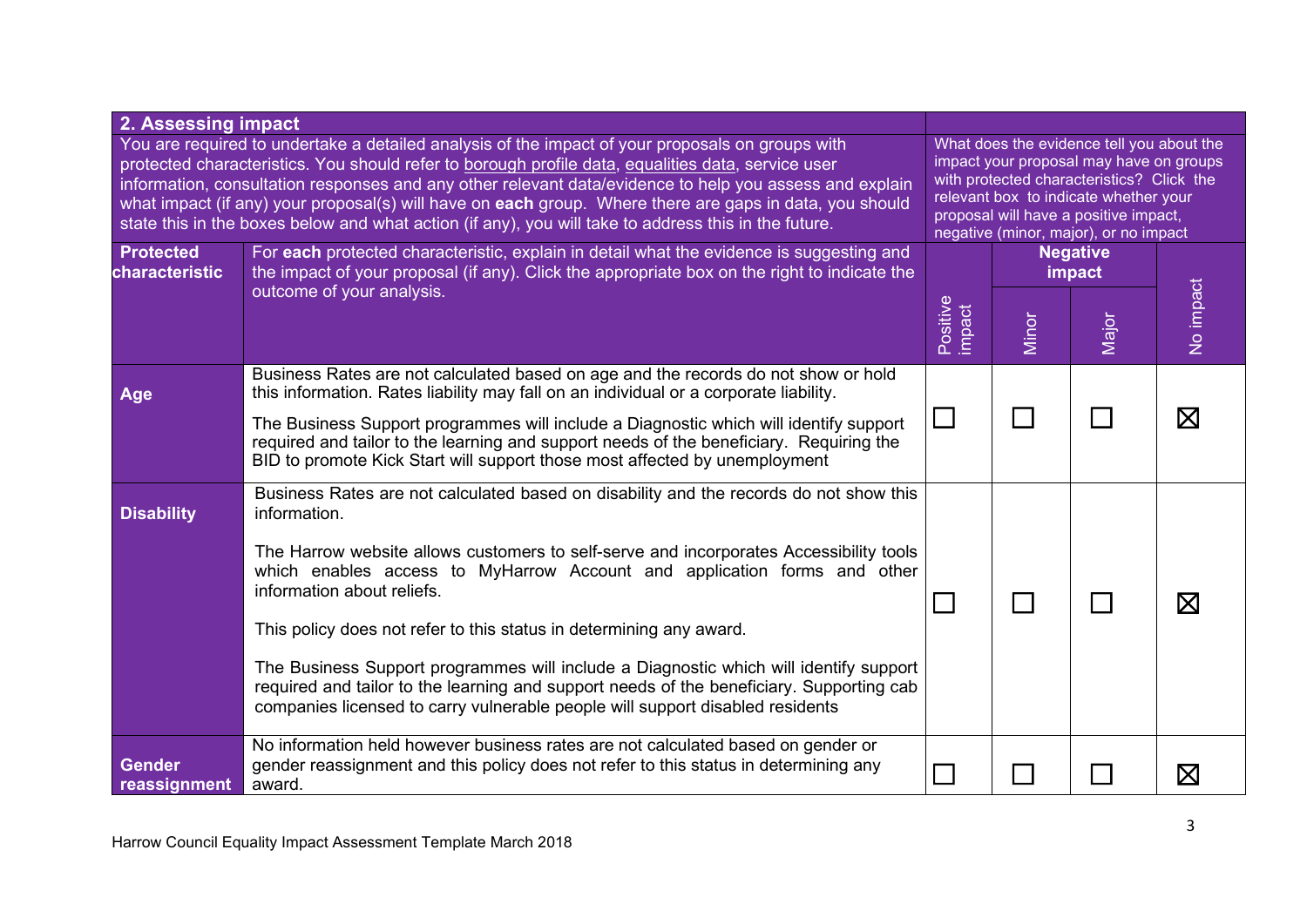| 2. Assessing impact                                                                                                                                                                                                                                                                                                                                                                                                                                                                                                                  |                                                                                                                                                                                                                                                                                                                                           |                                                                                                                                                                                                                                                              |                             |       |             |
|--------------------------------------------------------------------------------------------------------------------------------------------------------------------------------------------------------------------------------------------------------------------------------------------------------------------------------------------------------------------------------------------------------------------------------------------------------------------------------------------------------------------------------------|-------------------------------------------------------------------------------------------------------------------------------------------------------------------------------------------------------------------------------------------------------------------------------------------------------------------------------------------|--------------------------------------------------------------------------------------------------------------------------------------------------------------------------------------------------------------------------------------------------------------|-----------------------------|-------|-------------|
| You are required to undertake a detailed analysis of the impact of your proposals on groups with<br>protected characteristics. You should refer to borough profile data, equalities data, service user<br>information, consultation responses and any other relevant data/evidence to help you assess and explain<br>what impact (if any) your proposal(s) will have on each group. Where there are gaps in data, you should<br>state this in the boxes below and what action (if any), you will take to address this in the future. |                                                                                                                                                                                                                                                                                                                                           | What does the evidence tell you about the<br>impact your proposal may have on groups<br>with protected characteristics? Click the<br>relevant box to indicate whether your<br>proposal will have a positive impact,<br>negative (minor, major), or no impact |                             |       |             |
| <b>Protected</b><br>characteristic                                                                                                                                                                                                                                                                                                                                                                                                                                                                                                   | For each protected characteristic, explain in detail what the evidence is suggesting and<br>the impact of your proposal (if any). Click the appropriate box on the right to indicate the                                                                                                                                                  |                                                                                                                                                                                                                                                              | <b>Negative</b><br>impact   |       |             |
|                                                                                                                                                                                                                                                                                                                                                                                                                                                                                                                                      | outcome of your analysis.                                                                                                                                                                                                                                                                                                                 | Positive<br>impact                                                                                                                                                                                                                                           | Minor                       | Major | Vo impact   |
| Age                                                                                                                                                                                                                                                                                                                                                                                                                                                                                                                                  | Business Rates are not calculated based on age and the records do not show or hold<br>this information. Rates liability may fall on an individual or a corporate liability.                                                                                                                                                               |                                                                                                                                                                                                                                                              |                             |       |             |
|                                                                                                                                                                                                                                                                                                                                                                                                                                                                                                                                      | The Business Support programmes will include a Diagnostic which will identify support<br>required and tailor to the learning and support needs of the beneficiary. Requiring the<br>BID to promote Kick Start will support those most affected by unemployment                                                                            |                                                                                                                                                                                                                                                              | $\mathcal{L}_{\mathcal{A}}$ |       | $\boxtimes$ |
| <b>Disability</b>                                                                                                                                                                                                                                                                                                                                                                                                                                                                                                                    | Business Rates are not calculated based on disability and the records do not show this<br>information.<br>The Harrow website allows customers to self-serve and incorporates Accessibility tools<br>which enables access to MyHarrow Account and application forms and other<br>information about reliefs.                                |                                                                                                                                                                                                                                                              |                             |       |             |
|                                                                                                                                                                                                                                                                                                                                                                                                                                                                                                                                      | This policy does not refer to this status in determining any award.<br>The Business Support programmes will include a Diagnostic which will identify support<br>required and tailor to the learning and support needs of the beneficiary. Supporting cab<br>companies licensed to carry vulnerable people will support disabled residents |                                                                                                                                                                                                                                                              |                             |       | $\boxtimes$ |
| <b>Gender</b><br>reassignment                                                                                                                                                                                                                                                                                                                                                                                                                                                                                                        | No information held however business rates are not calculated based on gender or<br>gender reassignment and this policy does not refer to this status in determining any<br>award.                                                                                                                                                        |                                                                                                                                                                                                                                                              |                             |       | $\boxtimes$ |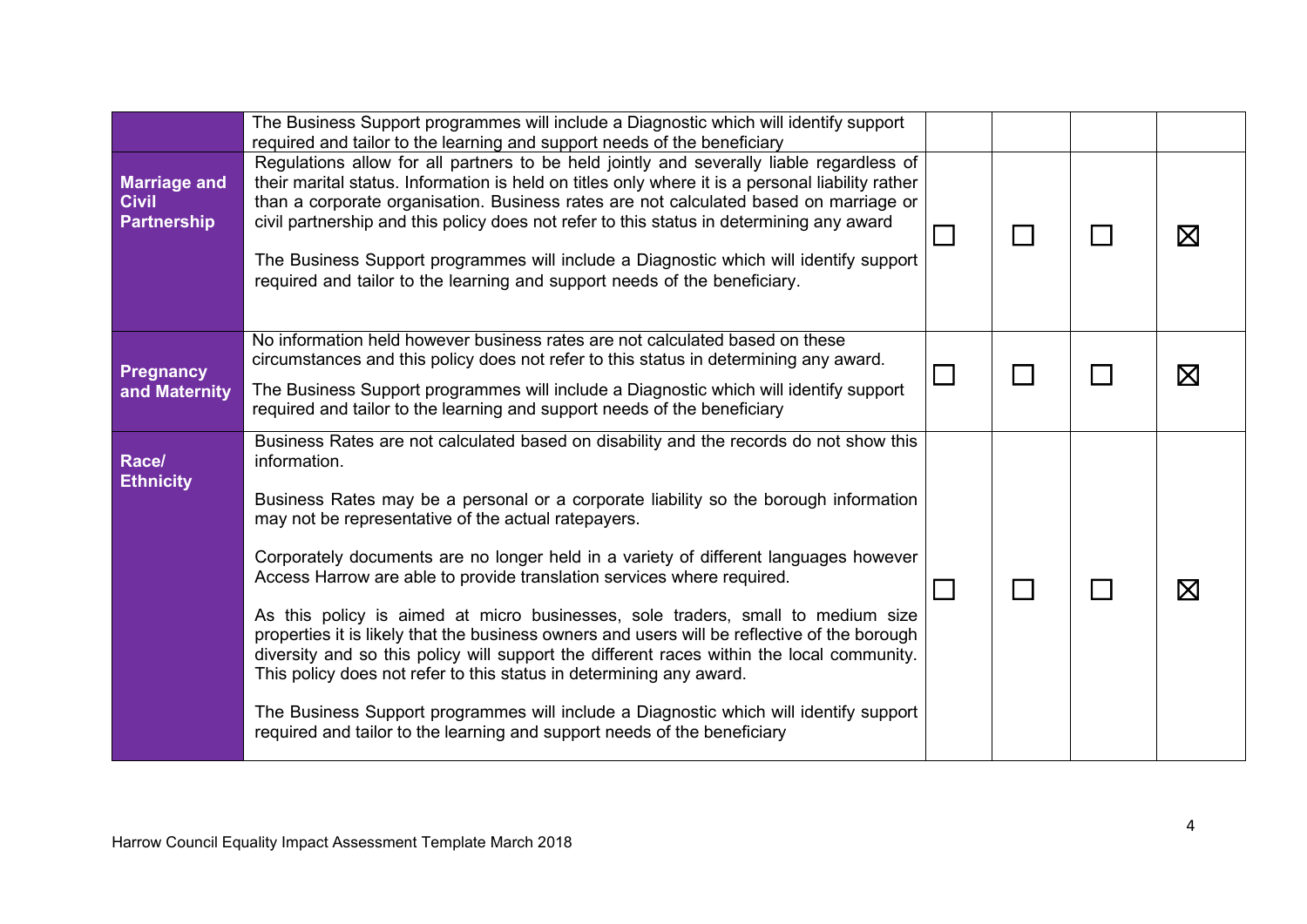|                                                    | The Business Support programmes will include a Diagnostic which will identify support<br>required and tailor to the learning and support needs of the beneficiary                                                                                                                                                                                                                                                                                                                                                                                                                                                                                                                                                                                                                                                                                                                                                                                   |  |             |
|----------------------------------------------------|-----------------------------------------------------------------------------------------------------------------------------------------------------------------------------------------------------------------------------------------------------------------------------------------------------------------------------------------------------------------------------------------------------------------------------------------------------------------------------------------------------------------------------------------------------------------------------------------------------------------------------------------------------------------------------------------------------------------------------------------------------------------------------------------------------------------------------------------------------------------------------------------------------------------------------------------------------|--|-------------|
| <b>Marriage and</b><br><b>Civil</b><br>Partnership | Regulations allow for all partners to be held jointly and severally liable regardless of<br>their marital status. Information is held on titles only where it is a personal liability rather<br>than a corporate organisation. Business rates are not calculated based on marriage or<br>civil partnership and this policy does not refer to this status in determining any award<br>The Business Support programmes will include a Diagnostic which will identify support<br>required and tailor to the learning and support needs of the beneficiary.                                                                                                                                                                                                                                                                                                                                                                                             |  | $\boxtimes$ |
| Pregnancy<br>and Maternity                         | No information held however business rates are not calculated based on these<br>circumstances and this policy does not refer to this status in determining any award.<br>The Business Support programmes will include a Diagnostic which will identify support<br>required and tailor to the learning and support needs of the beneficiary                                                                                                                                                                                                                                                                                                                                                                                                                                                                                                                                                                                                          |  | $\boxtimes$ |
| Race/<br><b>Ethnicity</b>                          | Business Rates are not calculated based on disability and the records do not show this<br>information.<br>Business Rates may be a personal or a corporate liability so the borough information<br>may not be representative of the actual ratepayers.<br>Corporately documents are no longer held in a variety of different languages however<br>Access Harrow are able to provide translation services where required.<br>As this policy is aimed at micro businesses, sole traders, small to medium size<br>properties it is likely that the business owners and users will be reflective of the borough<br>diversity and so this policy will support the different races within the local community.<br>This policy does not refer to this status in determining any award.<br>The Business Support programmes will include a Diagnostic which will identify support<br>required and tailor to the learning and support needs of the beneficiary |  | $\boxtimes$ |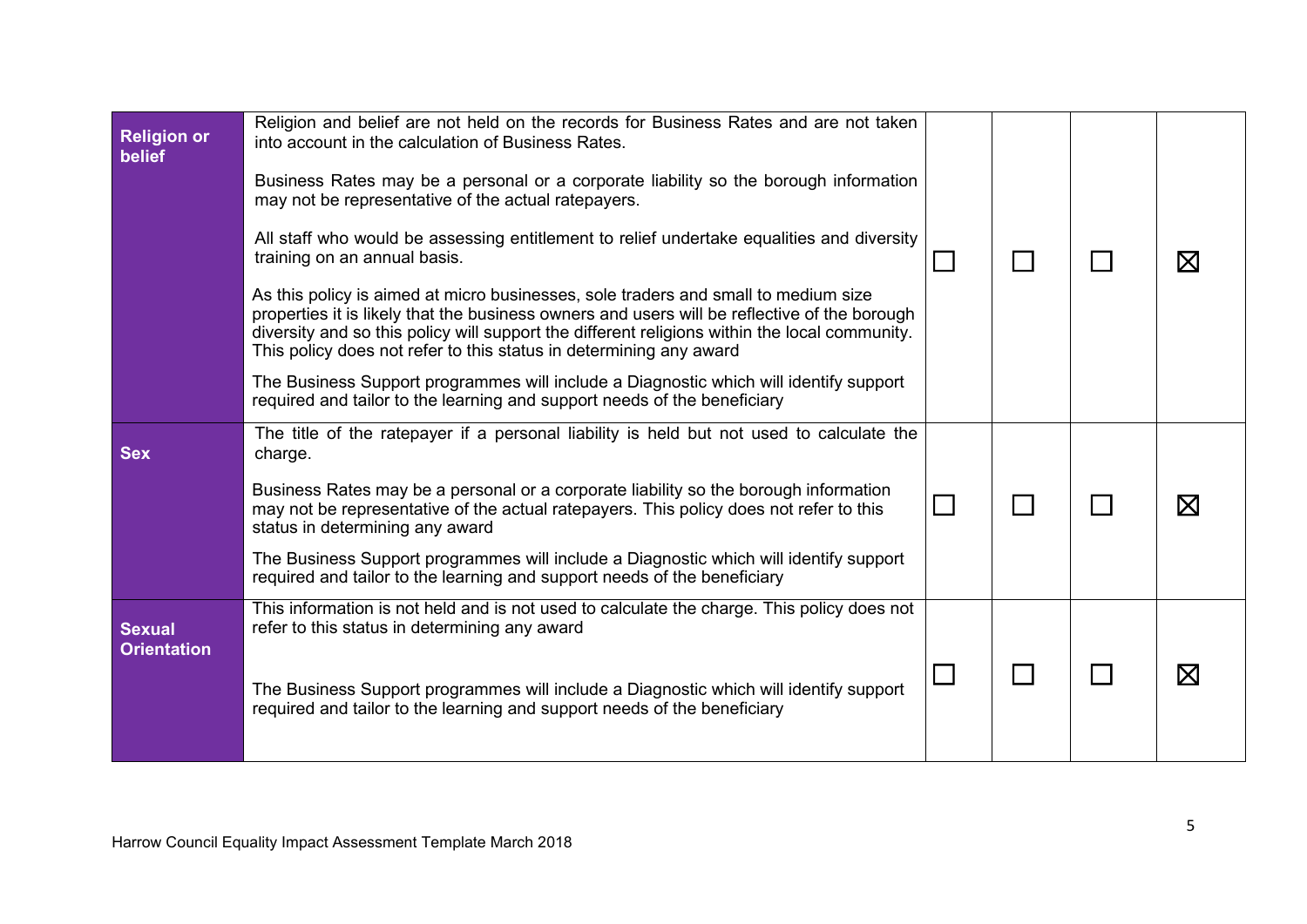| <b>Religion or</b><br>belief        | Religion and belief are not held on the records for Business Rates and are not taken<br>into account in the calculation of Business Rates.<br>Business Rates may be a personal or a corporate liability so the borough information<br>may not be representative of the actual ratepayers.<br>All staff who would be assessing entitlement to relief undertake equalities and diversity<br>training on an annual basis.<br>As this policy is aimed at micro businesses, sole traders and small to medium size<br>properties it is likely that the business owners and users will be reflective of the borough<br>diversity and so this policy will support the different religions within the local community.<br>This policy does not refer to this status in determining any award<br>The Business Support programmes will include a Diagnostic which will identify support<br>required and tailor to the learning and support needs of the beneficiary |                | $\boxtimes$ |
|-------------------------------------|----------------------------------------------------------------------------------------------------------------------------------------------------------------------------------------------------------------------------------------------------------------------------------------------------------------------------------------------------------------------------------------------------------------------------------------------------------------------------------------------------------------------------------------------------------------------------------------------------------------------------------------------------------------------------------------------------------------------------------------------------------------------------------------------------------------------------------------------------------------------------------------------------------------------------------------------------------|----------------|-------------|
| <b>Sex</b>                          | The title of the ratepayer if a personal liability is held but not used to calculate the<br>charge.<br>Business Rates may be a personal or a corporate liability so the borough information<br>may not be representative of the actual ratepayers. This policy does not refer to this<br>status in determining any award<br>The Business Support programmes will include a Diagnostic which will identify support<br>required and tailor to the learning and support needs of the beneficiary                                                                                                                                                                                                                                                                                                                                                                                                                                                            | $\mathbb{R}^n$ | $\boxtimes$ |
| <b>Sexual</b><br><b>Orientation</b> | This information is not held and is not used to calculate the charge. This policy does not<br>refer to this status in determining any award<br>The Business Support programmes will include a Diagnostic which will identify support<br>required and tailor to the learning and support needs of the beneficiary                                                                                                                                                                                                                                                                                                                                                                                                                                                                                                                                                                                                                                         |                | $\boxtimes$ |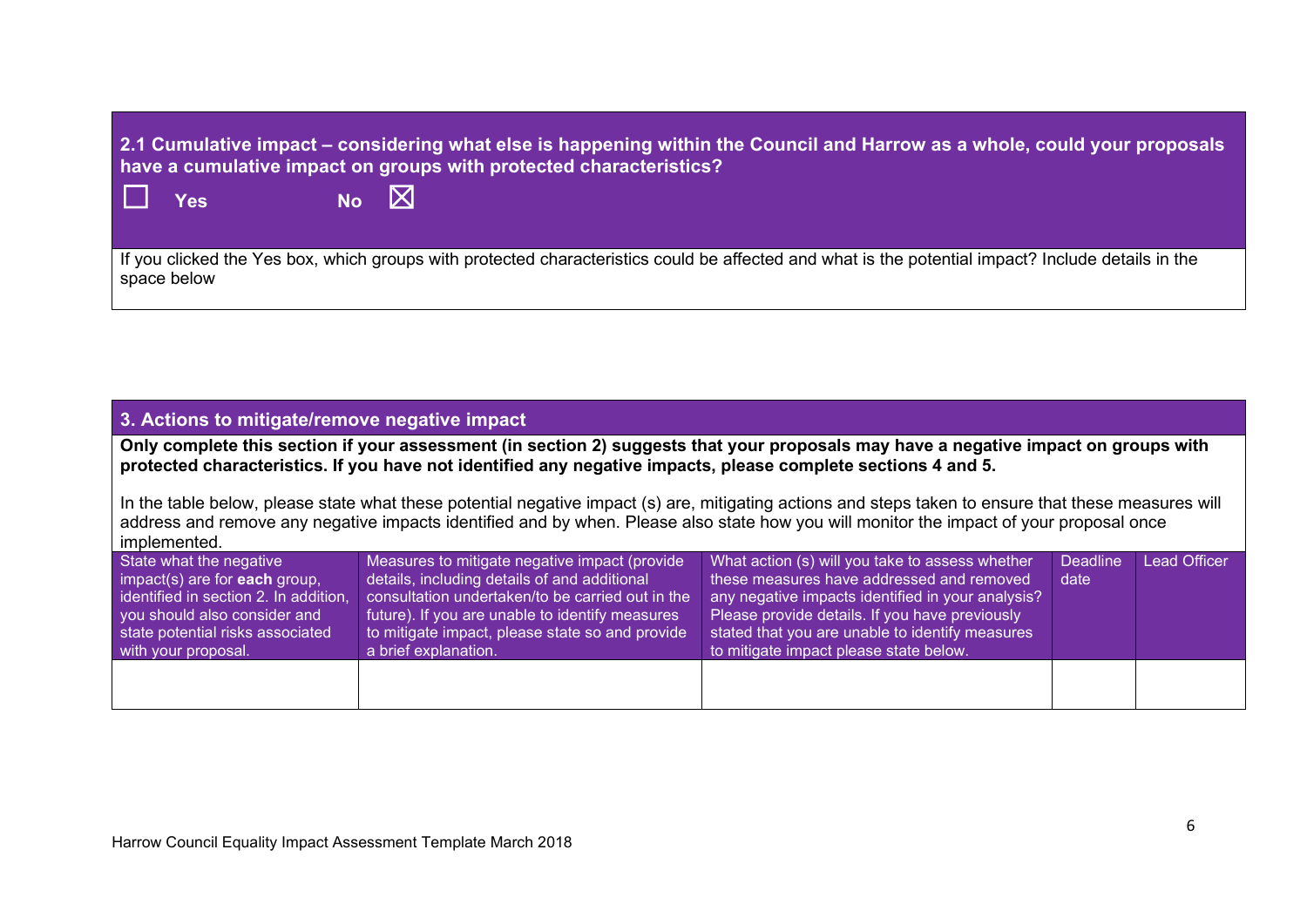**2.1 Cumulative impact – considering what else is happening within the Council and Harrow as a whole, could your proposals have a cumulative impact on groups with protected characteristics?**

 $\square$  Yes No  $\square$ 

If you clicked the Yes box, which groups with protected characteristics could be affected and what is the potential impact? Include details in the space below

#### **3. Actions to mitigate/remove negative impact**

**Only complete this section if your assessment (in section 2) suggests that your proposals may have a negative impact on groups with protected characteristics. If you have not identified any negative impacts, please complete sections 4 and 5.**

In the table below, please state what these potential negative impact (s) are, mitigating actions and steps taken to ensure that these measures will address and remove any negative impacts identified and by when. Please also state how you will monitor the impact of your proposal once implemented.

| State what the negative                                               | Measures to mitigate negative impact (provide                                                       | What action (s) will you take to assess whether                                                     | <b>Deadline</b> | <b>Lead Officer</b> |
|-----------------------------------------------------------------------|-----------------------------------------------------------------------------------------------------|-----------------------------------------------------------------------------------------------------|-----------------|---------------------|
| $impect(s)$ are for <b>each</b> group,                                | details, including details of and additional                                                        | these measures have addressed and removed                                                           | date            |                     |
| identified in section 2. In addition,<br>you should also consider and | consultation undertaken/to be carried out in the<br>future). If you are unable to identify measures | any negative impacts identified in your analysis?<br>Please provide details. If you have previously |                 |                     |
| state potential risks associated                                      | to mitigate impact, please state so and provide                                                     | stated that you are unable to identify measures                                                     |                 |                     |
| with your proposal.                                                   | a brief explanation.                                                                                | to mitigate impact please state below.                                                              |                 |                     |
|                                                                       |                                                                                                     |                                                                                                     |                 |                     |
|                                                                       |                                                                                                     |                                                                                                     |                 |                     |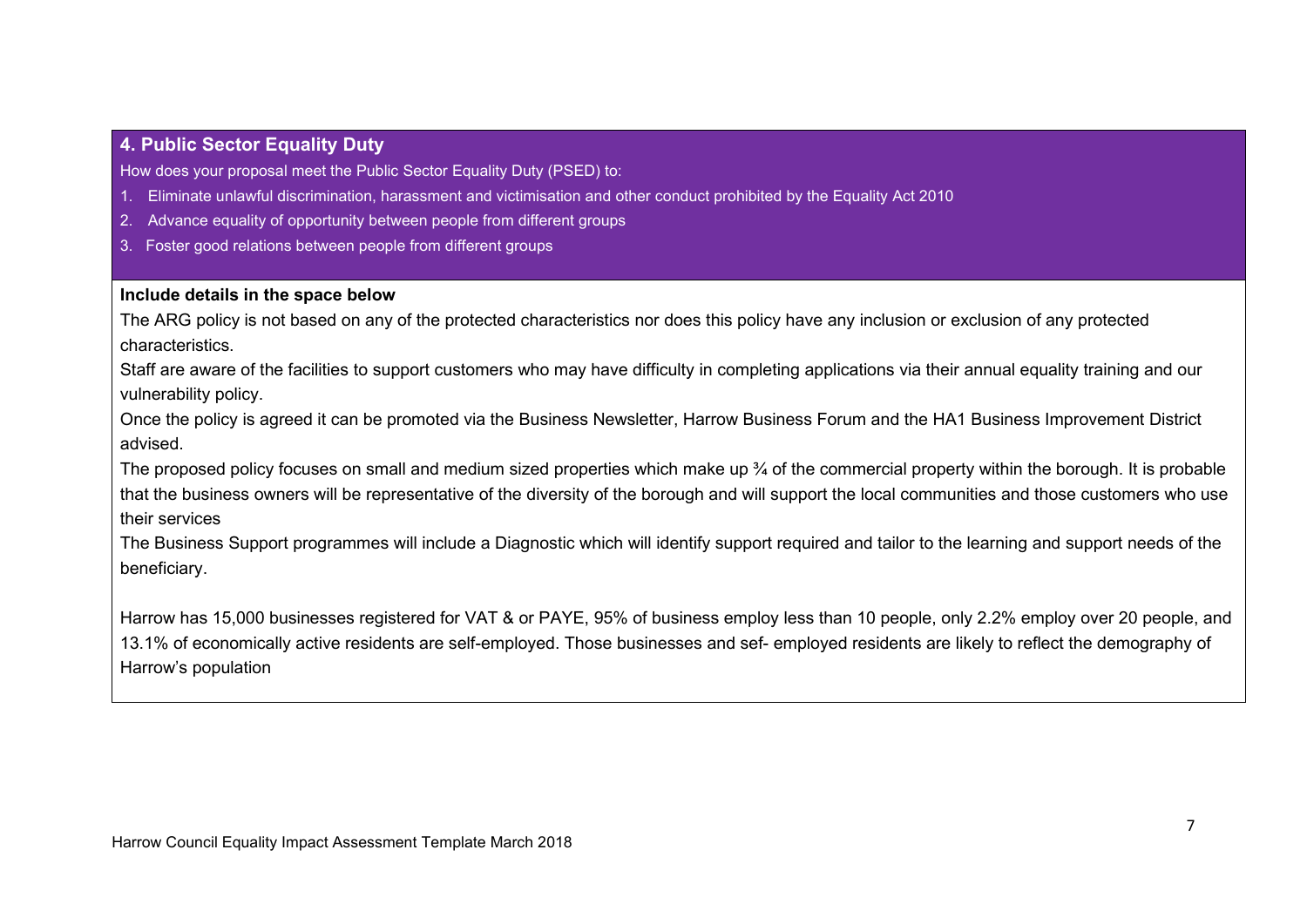### **4. Public Sector Equality Duty**

How does your proposal meet the Public Sector Equality Duty (PSED) to:

- 1. Eliminate unlawful discrimination, harassment and victimisation and other conduct prohibited by the Equality Act 2010
- 2. Advance equality of opportunity between people from different groups
- 3. Foster good relations between people from different groups

#### **Include details in the space below**

The ARG policy is not based on any of the protected characteristics nor does this policy have any inclusion or exclusion of any protected characteristics.

Staff are aware of the facilities to support customers who may have difficulty in completing applications via their annual equality training and our vulnerability policy.

Once the policy is agreed it can be promoted via the Business Newsletter, Harrow Business Forum and the HA1 Business Improvement District advised.

The proposed policy focuses on small and medium sized properties which make up  $\frac{3}{4}$  of the commercial property within the borough. It is probable that the business owners will be representative of the diversity of the borough and will support the local communities and those customers who use their services

The Business Support programmes will include a Diagnostic which will identify support required and tailor to the learning and support needs of the beneficiary.

Harrow has 15,000 businesses registered for VAT & or PAYE, 95% of business employ less than 10 people, only 2.2% employ over 20 people, and 13.1% of economically active residents are self-employed. Those businesses and sef- employed residents are likely to reflect the demography of Harrow's population